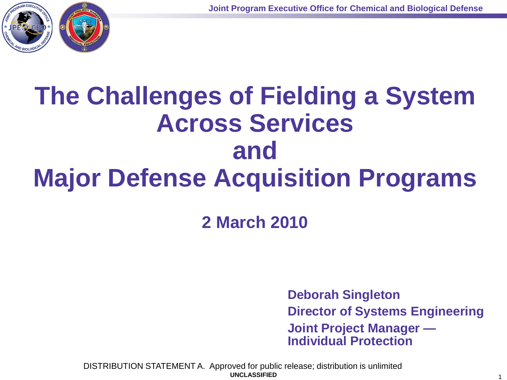

# **The Challenges of Fielding a System Across Services and Major Defense Acquisition Programs**

**2 March 2010**

**Deborah Singleton Director of Systems Engineering Joint Project Manager — Individual Protection**

**UNCLASSIFIED** 1 DISTRIBUTION STATEMENT A. Approved for public release; distribution is unlimited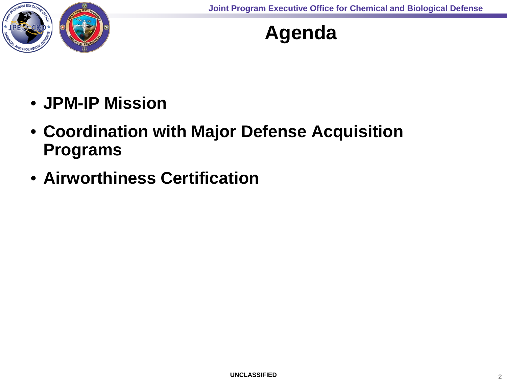

#### **Agenda**

- **JPM-IP Mission**
- **Coordination with Major Defense Acquisition Programs**
- **Airworthiness Certification**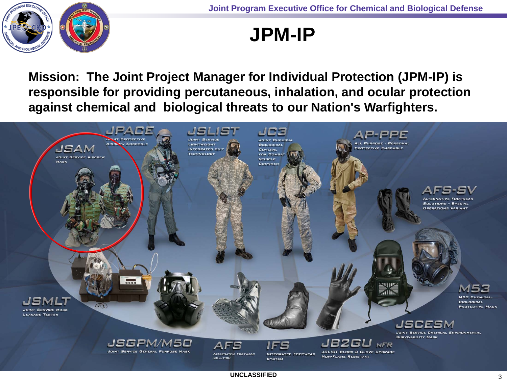

#### **JPM-IP**

**Mission: The Joint Project Manager for Individual Protection (JPM-IP) is responsible for providing percutaneous, inhalation, and ocular protection against chemical and biological threats to our Nation's Warfighters.**

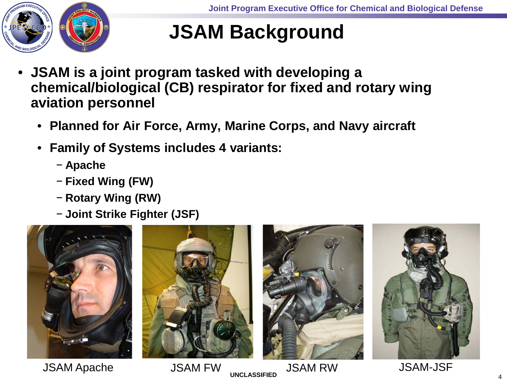

#### **JSAM Background**

- **JSAM is a joint program tasked with developing a chemical/biological (CB) respirator for fixed and rotary wing aviation personnel**
	- **Planned for Air Force, Army, Marine Corps, and Navy aircraft**
	- **Family of Systems includes 4 variants:**
		- − **Apache**
		- − **Fixed Wing (FW)**
		- − **Rotary Wing (RW)**
		- − **Joint Strike Fighter (JSF)**



JSAM Apache JSAM FW JSAM RW JSAM-JSF





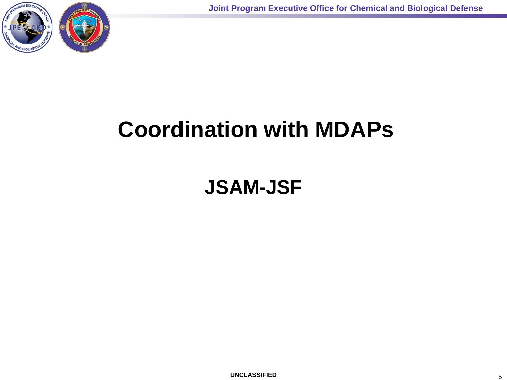

## **Coordination with MDAPs**

#### **JSAM-JSF**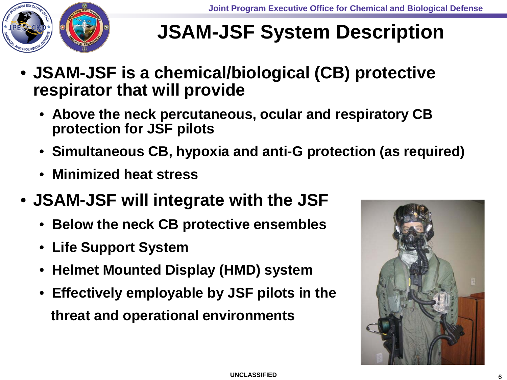

### **JSAM-JSF System Description**

- **JSAM-JSF is a chemical/biological (CB) protective respirator that will provide**
	- **Above the neck percutaneous, ocular and respiratory CB protection for JSF pilots**
	- **Simultaneous CB, hypoxia and anti-G protection (as required)**
	- **Minimized heat stress**
- **JSAM-JSF will integrate with the JSF**
	- **Below the neck CB protective ensembles**
	- **Life Support System**
	- **Helmet Mounted Display (HMD) system**
	- **Effectively employable by JSF pilots in the threat and operational environments**

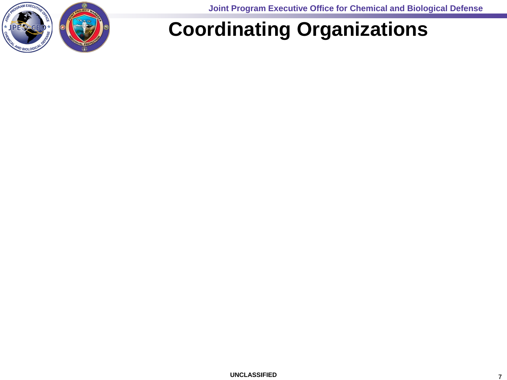

**Joint Program Executive Office for Chemical and Biological Defense**

#### **Coordinating Organizations**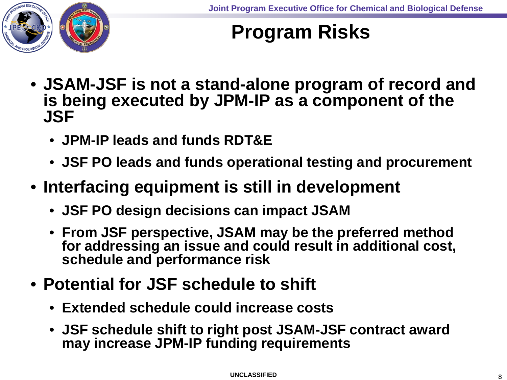

#### **Program Risks**

- **JSAM-JSF is not a stand-alone program of record and is being executed by JPM-IP as a component of the JSF** 
	- **JPM-IP leads and funds RDT&E**
	- **JSF PO leads and funds operational testing and procurement**
- **Interfacing equipment is still in development**
	- **JSF PO design decisions can impact JSAM**
	- **From JSF perspective, JSAM may be the preferred method for addressing an issue and could result in additional cost, schedule and performance risk**
- **Potential for JSF schedule to shift**
	- **Extended schedule could increase costs**
	- **JSF schedule shift to right post JSAM-JSF contract award may increase JPM-IP funding requirements**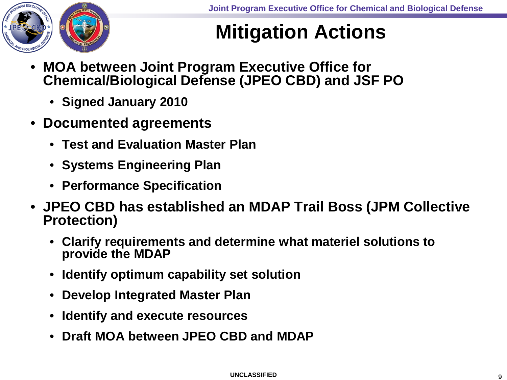

### **Mitigation Actions**

- **MOA between Joint Program Executive Office for Chemical/Biological Defense (JPEO CBD) and JSF PO**
	- **Signed January 2010**
- **Documented agreements**
	- **Test and Evaluation Master Plan**
	- **Systems Engineering Plan**
	- **Performance Specification**
- **JPEO CBD has established an MDAP Trail Boss (JPM Collective Protection)** 
	- **Clarify requirements and determine what materiel solutions to provide the MDAP**
	- **Identify optimum capability set solution**
	- **Develop Integrated Master Plan**
	- **Identify and execute resources**
	- **Draft MOA between JPEO CBD and MDAP**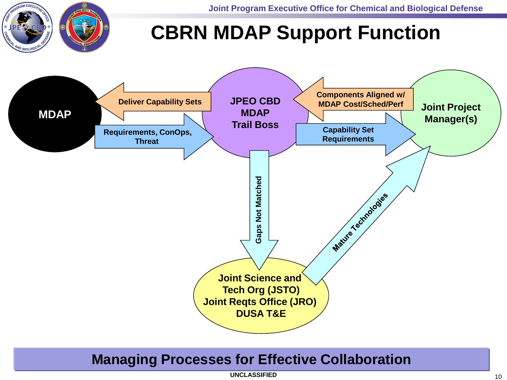### **CBRN MDAP Support Function**



#### **Managing Processes for Effective Collaboration**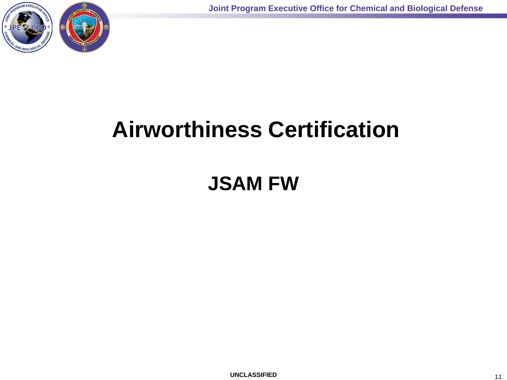

## **Airworthiness Certification**

#### **JSAM FW**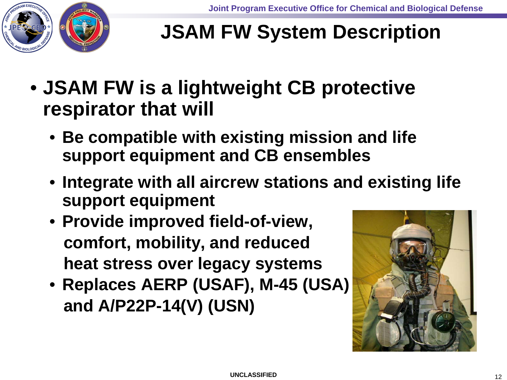

### **JSAM FW System Description**

- **JSAM FW is a lightweight CB protective respirator that will** 
	- **Be compatible with existing mission and life support equipment and CB ensembles**
	- **Integrate with all aircrew stations and existing life support equipment**
	- **Provide improved field-of-view, comfort, mobility, and reduced heat stress over legacy systems**
	- **Replaces AERP (USAF), M-45 (USA) and A/P22P-14(V) (USN)**

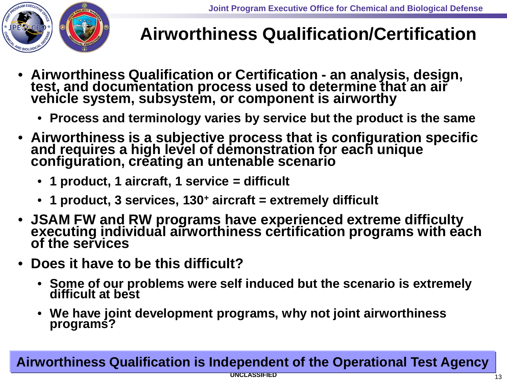

#### **Airworthiness Qualification/Certification**

- **Airworthiness Qualification or Certification - an analysis, design, test, and documentation process used to determine that an air vehicle system, subsystem, or component is airworthy**
	- **Process and terminology varies by service but the product is the same**
- **Airworthiness is a subjective process that is configuration specific and requires a high level of demonstration for each unique configuration, creating an untenable scenario** 
	- **1 product, 1 aircraft, 1 service = difficult**
	- **1 product, 3 services, 130+ aircraft = extremely difficult**
- **JSAM FW and RW programs have experienced extreme difficulty executing individual airworthiness certification programs with each of the services**
- **Does it have to be this difficult?**
	- **Some of our problems were self induced but the scenario is extremely difficult at best**
	- **We have joint development programs, why not joint airworthiness programs?**

#### **Airworthiness Qualification is Independent of the Operational Test Agency**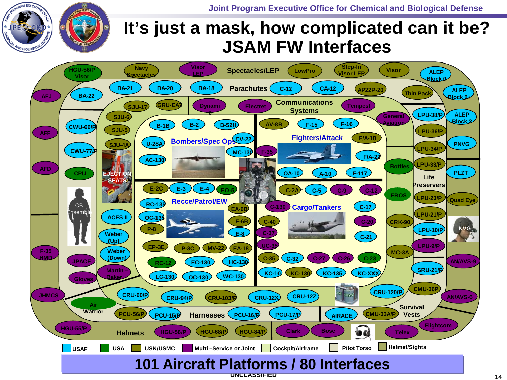**Joint Program Executive Office for Chemical and Biological Defense**



#### **It's just a mask, how complicated can it be? JSAM FW Interfaces**

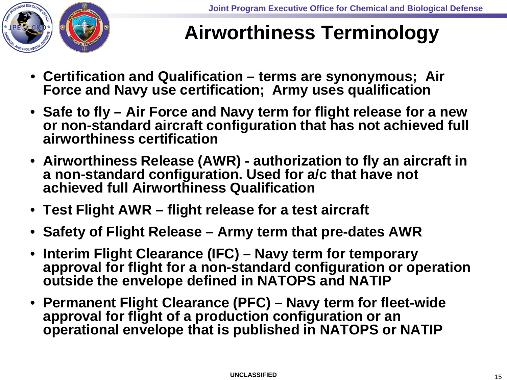

#### **Airworthiness Terminology**

- **Certification and Qualification – terms are synonymous; Air Force and Navy use certification; Army uses qualification**
- **Safe to fly – Air Force and Navy term for flight release for a new or non-standard aircraft configuration that has not achieved full airworthiness certification**
- **Airworthiness Release (AWR) - authorization to fly an aircraft in a non-standard configuration. Used for a/c that have not achieved full Airworthiness Qualification**
- **Test Flight AWR – flight release for a test aircraft**
- **Safety of Flight Release – Army term that pre-dates AWR**
- **Interim Flight Clearance (IFC) – Navy term for temporary approval for flight for a non-standard configuration or operation outside the envelope defined in NATOPS and NATIP**
- **Permanent Flight Clearance (PFC) – Navy term for fleet-wide approval for flight of a production configuration or an operational envelope that is published in NATOPS or NATIP**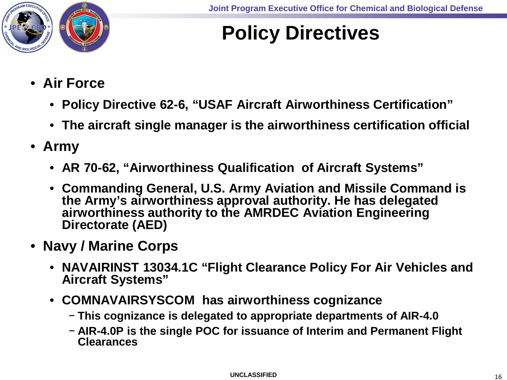

#### **Policy Directives**

- **Air Force** 
	- **Policy Directive 62-6, "USAF Aircraft Airworthiness Certification"**
	- **The aircraft single manager is the airworthiness certification official**
- **Army**
	- **AR 70-62, "Airworthiness Qualification of Aircraft Systems"**
	- **Commanding General, U.S. Army Aviation and Missile Command is the Army's airworthiness approval authority. He has delegated airworthiness authority to the AMRDEC Aviation Engineering Directorate (AED)**
- **Navy / Marine Corps**
	- **NAVAIRINST 13034.1C "Flight Clearance Policy For Air Vehicles and Aircraft Systems"**
	- **COMNAVAIRSYSCOM has airworthiness cognizance** 
		- − **This cognizance is delegated to appropriate departments of AIR-4.0**
		- − **AIR-4.0P is the single POC for issuance of Interim and Permanent Flight Clearances**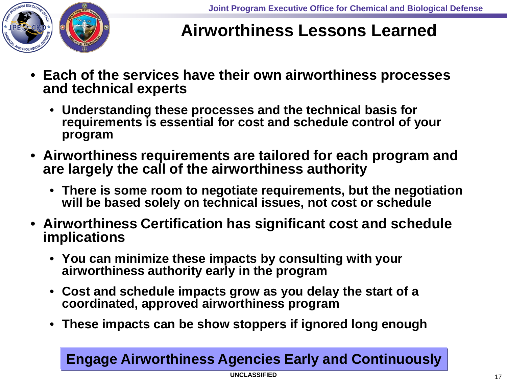

#### **Airworthiness Lessons Learned**

- **Each of the services have their own airworthiness processes and technical experts**
	- **Understanding these processes and the technical basis for requirements is essential for cost and schedule control of your program**
- **Airworthiness requirements are tailored for each program and are largely the call of the airworthiness authority**
	- **There is some room to negotiate requirements, but the negotiation will be based solely on technical issues, not cost or schedule**
- **Airworthiness Certification has significant cost and schedule implications**
	- **You can minimize these impacts by consulting with your airworthiness authority early in the program**
	- **Cost and schedule impacts grow as you delay the start of a coordinated, approved airworthiness program**
	- **These impacts can be show stoppers if ignored long enough**

#### **Engage Airworthiness Agencies Early and Continuously**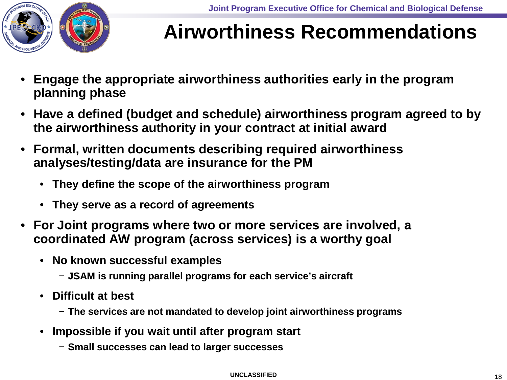

#### **Airworthiness Recommendations**

- **Engage the appropriate airworthiness authorities early in the program planning phase**
- **Have a defined (budget and schedule) airworthiness program agreed to by the airworthiness authority in your contract at initial award**
- **Formal, written documents describing required airworthiness analyses/testing/data are insurance for the PM**
	- **They define the scope of the airworthiness program**
	- **They serve as a record of agreements**
- **For Joint programs where two or more services are involved, a coordinated AW program (across services) is a worthy goal**
	- **No known successful examples**
		- − **JSAM is running parallel programs for each service's aircraft**
	- **Difficult at best** 
		- − **The services are not mandated to develop joint airworthiness programs**
	- **Impossible if you wait until after program start** 
		- − **Small successes can lead to larger successes**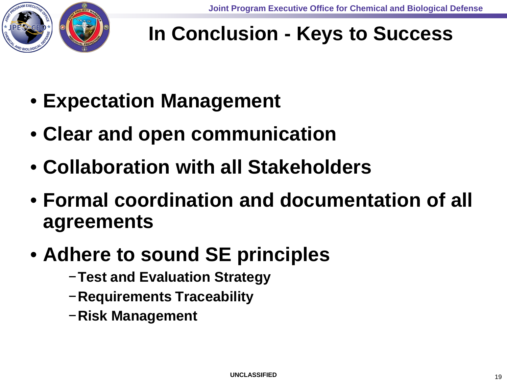

### **In Conclusion - Keys to Success**

- **Expectation Management**
- **Clear and open communication**
- **Collaboration with all Stakeholders**
- **Formal coordination and documentation of all agreements**
- **Adhere to sound SE principles**
	- −**Test and Evaluation Strategy**
	- −**Requirements Traceability**
	- −**Risk Management**